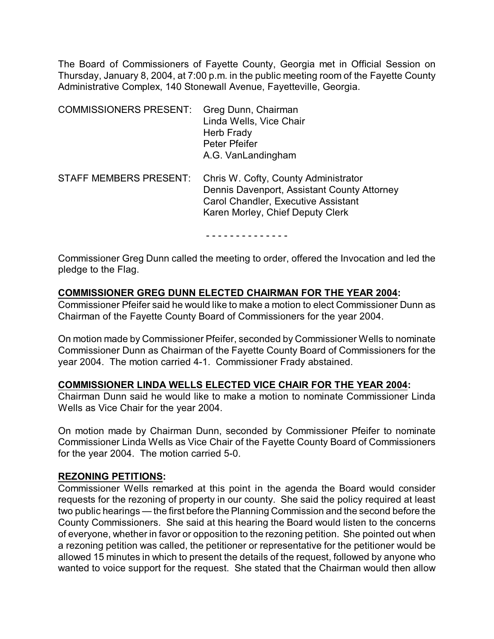The Board of Commissioners of Fayette County, Georgia met in Official Session on Thursday, January 8, 2004, at 7:00 p.m. in the public meeting room of the Fayette County Administrative Complex, 140 Stonewall Avenue, Fayetteville, Georgia.

| <b>COMMISSIONERS PRESENT:</b> | Greg Dunn, Chairman<br>Linda Wells, Vice Chair<br>Herb Frady<br>Peter Pfeifer<br>A.G. VanLandingham                                                                   |
|-------------------------------|-----------------------------------------------------------------------------------------------------------------------------------------------------------------------|
| <b>STAFF MEMBERS PRESENT:</b> | Chris W. Cofty, County Administrator<br>Dennis Davenport, Assistant County Attorney<br><b>Carol Chandler, Executive Assistant</b><br>Karen Morley, Chief Deputy Clerk |

- - - - - - - - - - - - - -

Commissioner Greg Dunn called the meeting to order, offered the Invocation and led the pledge to the Flag.

# **COMMISSIONER GREG DUNN ELECTED CHAIRMAN FOR THE YEAR 2004:**

Commissioner Pfeifer said he would like to make a motion to elect Commissioner Dunn as Chairman of the Fayette County Board of Commissioners for the year 2004.

On motion made by Commissioner Pfeifer, seconded by Commissioner Wells to nominate Commissioner Dunn as Chairman of the Fayette County Board of Commissioners for the year 2004. The motion carried 4-1. Commissioner Frady abstained.

#### **COMMISSIONER LINDA WELLS ELECTED VICE CHAIR FOR THE YEAR 2004:**

Chairman Dunn said he would like to make a motion to nominate Commissioner Linda Wells as Vice Chair for the year 2004.

On motion made by Chairman Dunn, seconded by Commissioner Pfeifer to nominate Commissioner Linda Wells as Vice Chair of the Fayette County Board of Commissioners for the year 2004. The motion carried 5-0.

#### **REZONING PETITIONS:**

Commissioner Wells remarked at this point in the agenda the Board would consider requests for the rezoning of property in our county. She said the policy required at least two public hearings — the first before the Planning Commission and the second before the County Commissioners. She said at this hearing the Board would listen to the concerns of everyone, whether in favor or opposition to the rezoning petition. She pointed out when a rezoning petition was called, the petitioner or representative for the petitioner would be allowed 15 minutes in which to present the details of the request, followed by anyone who wanted to voice support for the request. She stated that the Chairman would then allow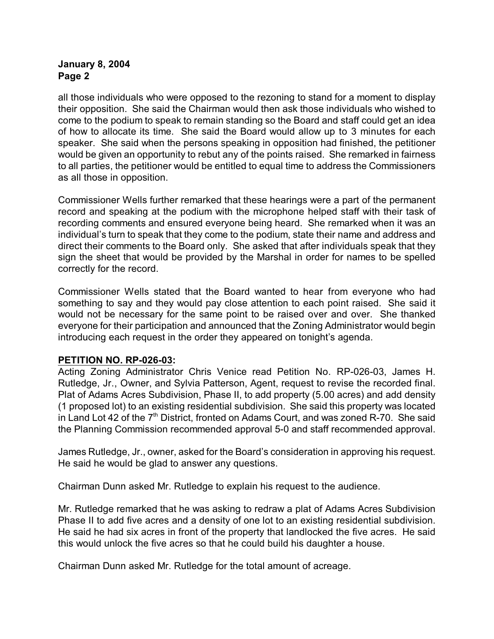all those individuals who were opposed to the rezoning to stand for a moment to display their opposition. She said the Chairman would then ask those individuals who wished to come to the podium to speak to remain standing so the Board and staff could get an idea of how to allocate its time. She said the Board would allow up to 3 minutes for each speaker. She said when the persons speaking in opposition had finished, the petitioner would be given an opportunity to rebut any of the points raised. She remarked in fairness to all parties, the petitioner would be entitled to equal time to address the Commissioners as all those in opposition.

Commissioner Wells further remarked that these hearings were a part of the permanent record and speaking at the podium with the microphone helped staff with their task of recording comments and ensured everyone being heard. She remarked when it was an individual's turn to speak that they come to the podium, state their name and address and direct their comments to the Board only. She asked that after individuals speak that they sign the sheet that would be provided by the Marshal in order for names to be spelled correctly for the record.

Commissioner Wells stated that the Board wanted to hear from everyone who had something to say and they would pay close attention to each point raised. She said it would not be necessary for the same point to be raised over and over. She thanked everyone for their participation and announced that the Zoning Administrator would begin introducing each request in the order they appeared on tonight's agenda.

#### **PETITION NO. RP-026-03:**

Acting Zoning Administrator Chris Venice read Petition No. RP-026-03, James H. Rutledge, Jr., Owner, and Sylvia Patterson, Agent, request to revise the recorded final. Plat of Adams Acres Subdivision, Phase II, to add property (5.00 acres) and add density (1 proposed lot) to an existing residential subdivision. She said this property was located in Land Lot 42 of the  $7<sup>th</sup>$  District, fronted on Adams Court, and was zoned R-70. She said the Planning Commission recommended approval 5-0 and staff recommended approval.

James Rutledge, Jr., owner, asked for the Board's consideration in approving his request. He said he would be glad to answer any questions.

Chairman Dunn asked Mr. Rutledge to explain his request to the audience.

Mr. Rutledge remarked that he was asking to redraw a plat of Adams Acres Subdivision Phase II to add five acres and a density of one lot to an existing residential subdivision. He said he had six acres in front of the property that landlocked the five acres. He said this would unlock the five acres so that he could build his daughter a house.

Chairman Dunn asked Mr. Rutledge for the total amount of acreage.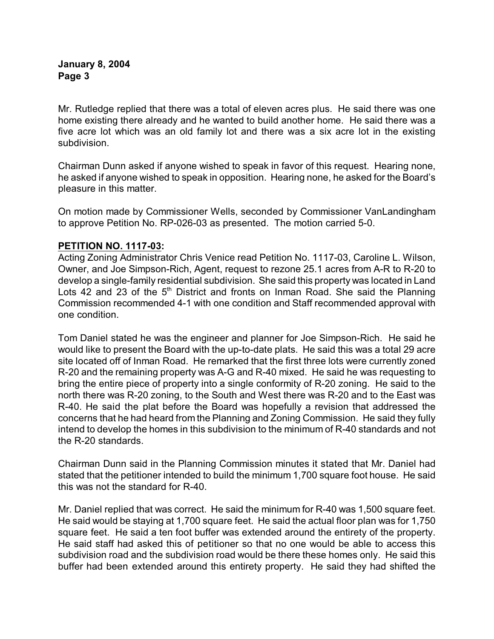Mr. Rutledge replied that there was a total of eleven acres plus. He said there was one home existing there already and he wanted to build another home. He said there was a five acre lot which was an old family lot and there was a six acre lot in the existing subdivision.

Chairman Dunn asked if anyone wished to speak in favor of this request. Hearing none, he asked if anyone wished to speak in opposition. Hearing none, he asked for the Board's pleasure in this matter.

On motion made by Commissioner Wells, seconded by Commissioner VanLandingham to approve Petition No. RP-026-03 as presented. The motion carried 5-0.

# **PETITION NO. 1117-03:**

Acting Zoning Administrator Chris Venice read Petition No. 1117-03, Caroline L. Wilson, Owner, and Joe Simpson-Rich, Agent, request to rezone 25.1 acres from A-R to R-20 to develop a single-family residential subdivision. She said this property was located in Land Lots 42 and 23 of the  $5<sup>th</sup>$  District and fronts on Inman Road. She said the Planning Commission recommended 4-1 with one condition and Staff recommended approval with one condition.

Tom Daniel stated he was the engineer and planner for Joe Simpson-Rich. He said he would like to present the Board with the up-to-date plats. He said this was a total 29 acre site located off of Inman Road. He remarked that the first three lots were currently zoned R-20 and the remaining property was A-G and R-40 mixed. He said he was requesting to bring the entire piece of property into a single conformity of R-20 zoning. He said to the north there was R-20 zoning, to the South and West there was R-20 and to the East was R-40. He said the plat before the Board was hopefully a revision that addressed the concerns that he had heard from the Planning and Zoning Commission. He said they fully intend to develop the homes in this subdivision to the minimum of R-40 standards and not the R-20 standards.

Chairman Dunn said in the Planning Commission minutes it stated that Mr. Daniel had stated that the petitioner intended to build the minimum 1,700 square foot house. He said this was not the standard for R-40.

Mr. Daniel replied that was correct. He said the minimum for R-40 was 1,500 square feet. He said would be staying at 1,700 square feet. He said the actual floor plan was for 1,750 square feet. He said a ten foot buffer was extended around the entirety of the property. He said staff had asked this of petitioner so that no one would be able to access this subdivision road and the subdivision road would be there these homes only. He said this buffer had been extended around this entirety property. He said they had shifted the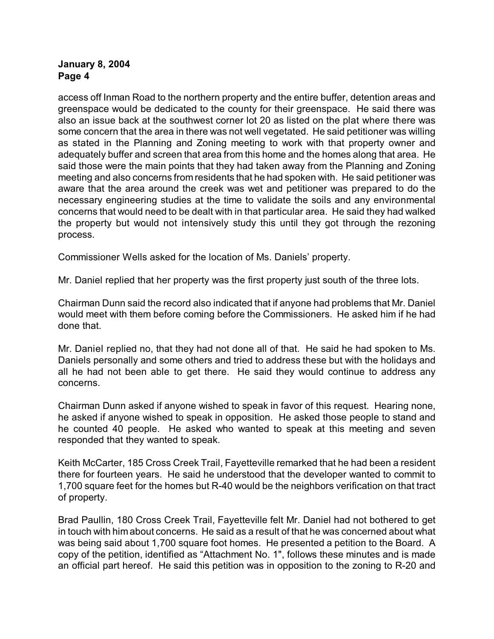access off Inman Road to the northern property and the entire buffer, detention areas and greenspace would be dedicated to the county for their greenspace. He said there was also an issue back at the southwest corner lot 20 as listed on the plat where there was some concern that the area in there was not well vegetated. He said petitioner was willing as stated in the Planning and Zoning meeting to work with that property owner and adequately buffer and screen that area from this home and the homes along that area. He said those were the main points that they had taken away from the Planning and Zoning meeting and also concerns from residents that he had spoken with. He said petitioner was aware that the area around the creek was wet and petitioner was prepared to do the necessary engineering studies at the time to validate the soils and any environmental concerns that would need to be dealt with in that particular area. He said they had walked the property but would not intensively study this until they got through the rezoning process.

Commissioner Wells asked for the location of Ms. Daniels' property.

Mr. Daniel replied that her property was the first property just south of the three lots.

Chairman Dunn said the record also indicated that if anyone had problems that Mr. Daniel would meet with them before coming before the Commissioners. He asked him if he had done that.

Mr. Daniel replied no, that they had not done all of that. He said he had spoken to Ms. Daniels personally and some others and tried to address these but with the holidays and all he had not been able to get there. He said they would continue to address any concerns.

Chairman Dunn asked if anyone wished to speak in favor of this request. Hearing none, he asked if anyone wished to speak in opposition. He asked those people to stand and he counted 40 people. He asked who wanted to speak at this meeting and seven responded that they wanted to speak.

Keith McCarter, 185 Cross Creek Trail, Fayetteville remarked that he had been a resident there for fourteen years. He said he understood that the developer wanted to commit to 1,700 square feet for the homes but R-40 would be the neighbors verification on that tract of property.

Brad Paullin, 180 Cross Creek Trail, Fayetteville felt Mr. Daniel had not bothered to get in touch with him about concerns. He said as a result of that he was concerned about what was being said about 1,700 square foot homes. He presented a petition to the Board. A copy of the petition, identified as "Attachment No. 1", follows these minutes and is made an official part hereof. He said this petition was in opposition to the zoning to R-20 and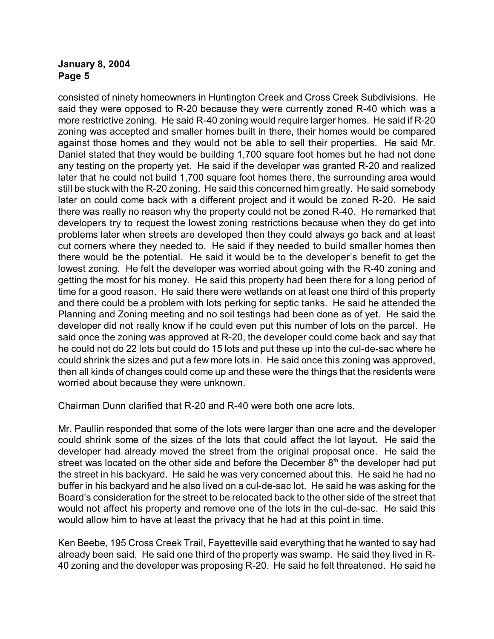consisted of ninety homeowners in Huntington Creek and Cross Creek Subdivisions. He said they were opposed to R-20 because they were currently zoned R-40 which was a more restrictive zoning. He said R-40 zoning would require larger homes. He said if R-20 zoning was accepted and smaller homes built in there, their homes would be compared against those homes and they would not be able to sell their properties. He said Mr. Daniel stated that they would be building 1,700 square foot homes but he had not done any testing on the property yet. He said if the developer was granted R-20 and realized later that he could not build 1,700 square foot homes there, the surrounding area would still be stuck with the R-20 zoning. He said this concerned him greatly. He said somebody later on could come back with a different project and it would be zoned R-20. He said there was really no reason why the property could not be zoned R-40. He remarked that developers try to request the lowest zoning restrictions because when they do get into problems later when streets are developed then they could always go back and at least cut corners where they needed to. He said if they needed to build smaller homes then there would be the potential. He said it would be to the developer's benefit to get the lowest zoning. He felt the developer was worried about going with the R-40 zoning and getting the most for his money. He said this property had been there for a long period of time for a good reason. He said there were wetlands on at least one third of this property and there could be a problem with lots perking for septic tanks. He said he attended the Planning and Zoning meeting and no soil testings had been done as of yet. He said the developer did not really know if he could even put this number of lots on the parcel. He said once the zoning was approved at R-20, the developer could come back and say that he could not do 22 lots but could do 15 lots and put these up into the cul-de-sac where he could shrink the sizes and put a few more lots in. He said once this zoning was approved, then all kinds of changes could come up and these were the things that the residents were worried about because they were unknown.

Chairman Dunn clarified that R-20 and R-40 were both one acre lots.

Mr. Paullin responded that some of the lots were larger than one acre and the developer could shrink some of the sizes of the lots that could affect the lot layout. He said the developer had already moved the street from the original proposal once. He said the street was located on the other side and before the December  $8<sup>th</sup>$  the developer had put the street in his backyard. He said he was very concerned about this. He said he had no buffer in his backyard and he also lived on a cul-de-sac lot. He said he was asking for the Board's consideration for the street to be relocated back to the other side of the street that would not affect his property and remove one of the lots in the cul-de-sac. He said this would allow him to have at least the privacy that he had at this point in time.

Ken Beebe, 195 Cross Creek Trail, Fayetteville said everything that he wanted to say had already been said. He said one third of the property was swamp. He said they lived in R-40 zoning and the developer was proposing R-20. He said he felt threatened. He said he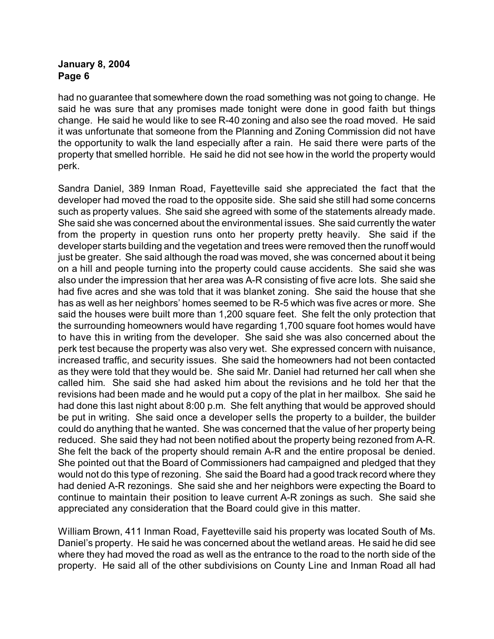had no guarantee that somewhere down the road something was not going to change. He said he was sure that any promises made tonight were done in good faith but things change. He said he would like to see R-40 zoning and also see the road moved. He said it was unfortunate that someone from the Planning and Zoning Commission did not have the opportunity to walk the land especially after a rain. He said there were parts of the property that smelled horrible. He said he did not see how in the world the property would perk.

Sandra Daniel, 389 Inman Road, Fayetteville said she appreciated the fact that the developer had moved the road to the opposite side. She said she still had some concerns such as property values. She said she agreed with some of the statements already made. She said she was concerned about the environmental issues. She said currently the water from the property in question runs onto her property pretty heavily. She said if the developer starts building and the vegetation and trees were removed then the runoff would just be greater. She said although the road was moved, she was concerned about it being on a hill and people turning into the property could cause accidents. She said she was also under the impression that her area was A-R consisting of five acre lots. She said she had five acres and she was told that it was blanket zoning. She said the house that she has as well as her neighbors' homes seemed to be R-5 which was five acres or more. She said the houses were built more than 1,200 square feet. She felt the only protection that the surrounding homeowners would have regarding 1,700 square foot homes would have to have this in writing from the developer. She said she was also concerned about the perk test because the property was also very wet. She expressed concern with nuisance, increased traffic, and security issues. She said the homeowners had not been contacted as they were told that they would be. She said Mr. Daniel had returned her call when she called him. She said she had asked him about the revisions and he told her that the revisions had been made and he would put a copy of the plat in her mailbox. She said he had done this last night about 8:00 p.m. She felt anything that would be approved should be put in writing. She said once a developer sells the property to a builder, the builder could do anything that he wanted. She was concerned that the value of her property being reduced. She said they had not been notified about the property being rezoned from A-R. She felt the back of the property should remain A-R and the entire proposal be denied. She pointed out that the Board of Commissioners had campaigned and pledged that they would not do this type of rezoning. She said the Board had a good track record where they had denied A-R rezonings. She said she and her neighbors were expecting the Board to continue to maintain their position to leave current A-R zonings as such. She said she appreciated any consideration that the Board could give in this matter.

William Brown, 411 Inman Road, Fayetteville said his property was located South of Ms. Daniel's property. He said he was concerned about the wetland areas. He said he did see where they had moved the road as well as the entrance to the road to the north side of the property. He said all of the other subdivisions on County Line and Inman Road all had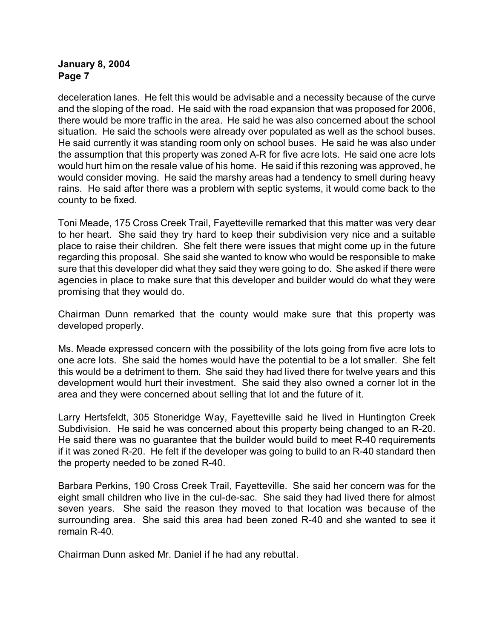deceleration lanes. He felt this would be advisable and a necessity because of the curve and the sloping of the road. He said with the road expansion that was proposed for 2006, there would be more traffic in the area. He said he was also concerned about the school situation. He said the schools were already over populated as well as the school buses. He said currently it was standing room only on school buses. He said he was also under the assumption that this property was zoned A-R for five acre lots. He said one acre lots would hurt him on the resale value of his home. He said if this rezoning was approved, he would consider moving. He said the marshy areas had a tendency to smell during heavy rains. He said after there was a problem with septic systems, it would come back to the county to be fixed.

Toni Meade, 175 Cross Creek Trail, Fayetteville remarked that this matter was very dear to her heart. She said they try hard to keep their subdivision very nice and a suitable place to raise their children. She felt there were issues that might come up in the future regarding this proposal. She said she wanted to know who would be responsible to make sure that this developer did what they said they were going to do. She asked if there were agencies in place to make sure that this developer and builder would do what they were promising that they would do.

Chairman Dunn remarked that the county would make sure that this property was developed properly.

Ms. Meade expressed concern with the possibility of the lots going from five acre lots to one acre lots. She said the homes would have the potential to be a lot smaller. She felt this would be a detriment to them. She said they had lived there for twelve years and this development would hurt their investment. She said they also owned a corner lot in the area and they were concerned about selling that lot and the future of it.

Larry Hertsfeldt, 305 Stoneridge Way, Fayetteville said he lived in Huntington Creek Subdivision. He said he was concerned about this property being changed to an R-20. He said there was no guarantee that the builder would build to meet R-40 requirements if it was zoned R-20. He felt if the developer was going to build to an R-40 standard then the property needed to be zoned R-40.

Barbara Perkins, 190 Cross Creek Trail, Fayetteville. She said her concern was for the eight small children who live in the cul-de-sac. She said they had lived there for almost seven years. She said the reason they moved to that location was because of the surrounding area. She said this area had been zoned R-40 and she wanted to see it remain R-40.

Chairman Dunn asked Mr. Daniel if he had any rebuttal.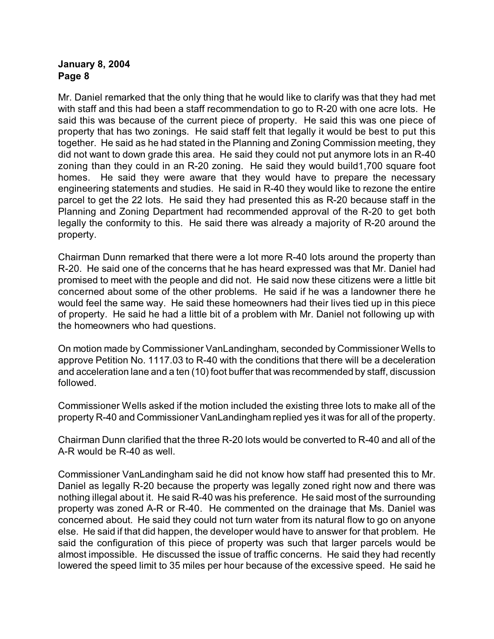Mr. Daniel remarked that the only thing that he would like to clarify was that they had met with staff and this had been a staff recommendation to go to R-20 with one acre lots. He said this was because of the current piece of property. He said this was one piece of property that has two zonings. He said staff felt that legally it would be best to put this together. He said as he had stated in the Planning and Zoning Commission meeting, they did not want to down grade this area. He said they could not put anymore lots in an R-40 zoning than they could in an R-20 zoning. He said they would build1,700 square foot homes. He said they were aware that they would have to prepare the necessary engineering statements and studies. He said in R-40 they would like to rezone the entire parcel to get the 22 lots. He said they had presented this as R-20 because staff in the Planning and Zoning Department had recommended approval of the R-20 to get both legally the conformity to this. He said there was already a majority of R-20 around the property.

Chairman Dunn remarked that there were a lot more R-40 lots around the property than R-20. He said one of the concerns that he has heard expressed was that Mr. Daniel had promised to meet with the people and did not. He said now these citizens were a little bit concerned about some of the other problems. He said if he was a landowner there he would feel the same way. He said these homeowners had their lives tied up in this piece of property. He said he had a little bit of a problem with Mr. Daniel not following up with the homeowners who had questions.

On motion made by Commissioner VanLandingham, seconded by Commissioner Wells to approve Petition No. 1117.03 to R-40 with the conditions that there will be a deceleration and acceleration lane and a ten (10) foot buffer that was recommended by staff, discussion followed.

Commissioner Wells asked if the motion included the existing three lots to make all of the property R-40 and Commissioner VanLandingham replied yes it was for all of the property.

Chairman Dunn clarified that the three R-20 lots would be converted to R-40 and all of the A-R would be R-40 as well.

Commissioner VanLandingham said he did not know how staff had presented this to Mr. Daniel as legally R-20 because the property was legally zoned right now and there was nothing illegal about it. He said R-40 was his preference. He said most of the surrounding property was zoned A-R or R-40. He commented on the drainage that Ms. Daniel was concerned about. He said they could not turn water from its natural flow to go on anyone else. He said if that did happen, the developer would have to answer for that problem. He said the configuration of this piece of property was such that larger parcels would be almost impossible. He discussed the issue of traffic concerns. He said they had recently lowered the speed limit to 35 miles per hour because of the excessive speed. He said he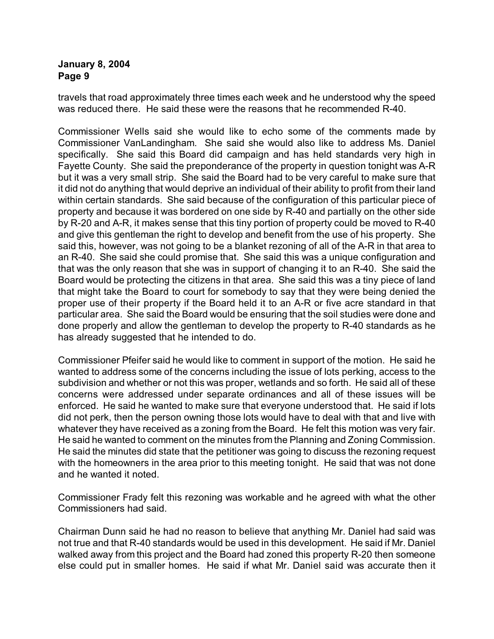travels that road approximately three times each week and he understood why the speed was reduced there. He said these were the reasons that he recommended R-40.

Commissioner Wells said she would like to echo some of the comments made by Commissioner VanLandingham. She said she would also like to address Ms. Daniel specifically. She said this Board did campaign and has held standards very high in Fayette County. She said the preponderance of the property in question tonight was A-R but it was a very small strip. She said the Board had to be very careful to make sure that it did not do anything that would deprive an individual of their ability to profit from their land within certain standards. She said because of the configuration of this particular piece of property and because it was bordered on one side by R-40 and partially on the other side by R-20 and A-R, it makes sense that this tiny portion of property could be moved to R-40 and give this gentleman the right to develop and benefit from the use of his property. She said this, however, was not going to be a blanket rezoning of all of the A-R in that area to an R-40. She said she could promise that. She said this was a unique configuration and that was the only reason that she was in support of changing it to an R-40. She said the Board would be protecting the citizens in that area. She said this was a tiny piece of land that might take the Board to court for somebody to say that they were being denied the proper use of their property if the Board held it to an A-R or five acre standard in that particular area. She said the Board would be ensuring that the soil studies were done and done properly and allow the gentleman to develop the property to R-40 standards as he has already suggested that he intended to do.

Commissioner Pfeifer said he would like to comment in support of the motion. He said he wanted to address some of the concerns including the issue of lots perking, access to the subdivision and whether or not this was proper, wetlands and so forth. He said all of these concerns were addressed under separate ordinances and all of these issues will be enforced. He said he wanted to make sure that everyone understood that. He said if lots did not perk, then the person owning those lots would have to deal with that and live with whatever they have received as a zoning from the Board. He felt this motion was very fair. He said he wanted to comment on the minutes from the Planning and Zoning Commission. He said the minutes did state that the petitioner was going to discuss the rezoning request with the homeowners in the area prior to this meeting tonight. He said that was not done and he wanted it noted.

Commissioner Frady felt this rezoning was workable and he agreed with what the other Commissioners had said.

Chairman Dunn said he had no reason to believe that anything Mr. Daniel had said was not true and that R-40 standards would be used in this development. He said if Mr. Daniel walked away from this project and the Board had zoned this property R-20 then someone else could put in smaller homes. He said if what Mr. Daniel said was accurate then it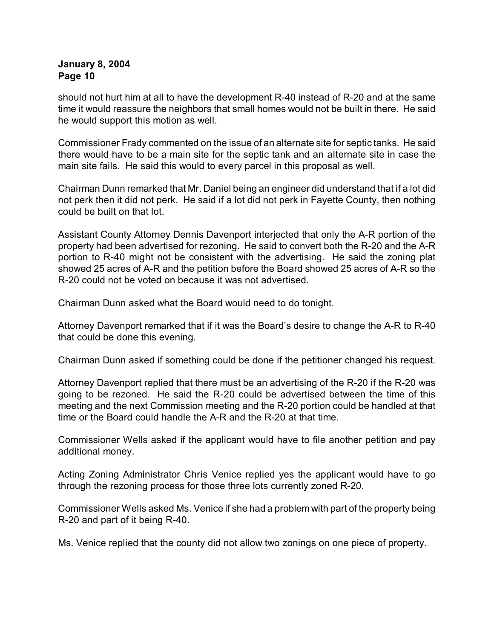should not hurt him at all to have the development R-40 instead of R-20 and at the same time it would reassure the neighbors that small homes would not be built in there. He said he would support this motion as well.

Commissioner Frady commented on the issue of an alternate site for septic tanks. He said there would have to be a main site for the septic tank and an alternate site in case the main site fails. He said this would to every parcel in this proposal as well.

Chairman Dunn remarked that Mr. Daniel being an engineer did understand that if a lot did not perk then it did not perk. He said if a lot did not perk in Fayette County, then nothing could be built on that lot.

Assistant County Attorney Dennis Davenport interjected that only the A-R portion of the property had been advertised for rezoning. He said to convert both the R-20 and the A-R portion to R-40 might not be consistent with the advertising. He said the zoning plat showed 25 acres of A-R and the petition before the Board showed 25 acres of A-R so the R-20 could not be voted on because it was not advertised.

Chairman Dunn asked what the Board would need to do tonight.

Attorney Davenport remarked that if it was the Board's desire to change the A-R to R-40 that could be done this evening.

Chairman Dunn asked if something could be done if the petitioner changed his request.

Attorney Davenport replied that there must be an advertising of the R-20 if the R-20 was going to be rezoned. He said the R-20 could be advertised between the time of this meeting and the next Commission meeting and the R-20 portion could be handled at that time or the Board could handle the A-R and the R-20 at that time.

Commissioner Wells asked if the applicant would have to file another petition and pay additional money.

Acting Zoning Administrator Chris Venice replied yes the applicant would have to go through the rezoning process for those three lots currently zoned R-20.

Commissioner Wells asked Ms. Venice if she had a problem with part of the property being R-20 and part of it being R-40.

Ms. Venice replied that the county did not allow two zonings on one piece of property.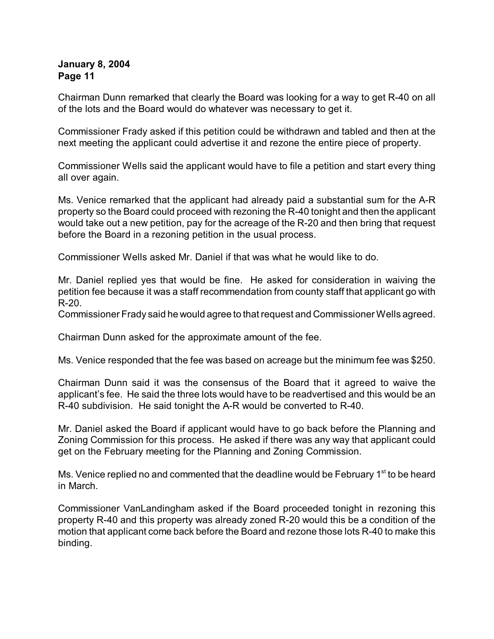Chairman Dunn remarked that clearly the Board was looking for a way to get R-40 on all of the lots and the Board would do whatever was necessary to get it.

Commissioner Frady asked if this petition could be withdrawn and tabled and then at the next meeting the applicant could advertise it and rezone the entire piece of property.

Commissioner Wells said the applicant would have to file a petition and start every thing all over again.

Ms. Venice remarked that the applicant had already paid a substantial sum for the A-R property so the Board could proceed with rezoning the R-40 tonight and then the applicant would take out a new petition, pay for the acreage of the R-20 and then bring that request before the Board in a rezoning petition in the usual process.

Commissioner Wells asked Mr. Daniel if that was what he would like to do.

Mr. Daniel replied yes that would be fine. He asked for consideration in waiving the petition fee because it was a staff recommendation from county staff that applicant go with R-20.

Commissioner Frady said he would agree to that request and Commissioner Wells agreed.

Chairman Dunn asked for the approximate amount of the fee.

Ms. Venice responded that the fee was based on acreage but the minimum fee was \$250.

Chairman Dunn said it was the consensus of the Board that it agreed to waive the applicant's fee. He said the three lots would have to be readvertised and this would be an R-40 subdivision. He said tonight the A-R would be converted to R-40.

Mr. Daniel asked the Board if applicant would have to go back before the Planning and Zoning Commission for this process. He asked if there was any way that applicant could get on the February meeting for the Planning and Zoning Commission.

Ms. Venice replied no and commented that the deadline would be February  $1<sup>st</sup>$  to be heard in March.

Commissioner VanLandingham asked if the Board proceeded tonight in rezoning this property R-40 and this property was already zoned R-20 would this be a condition of the motion that applicant come back before the Board and rezone those lots R-40 to make this binding.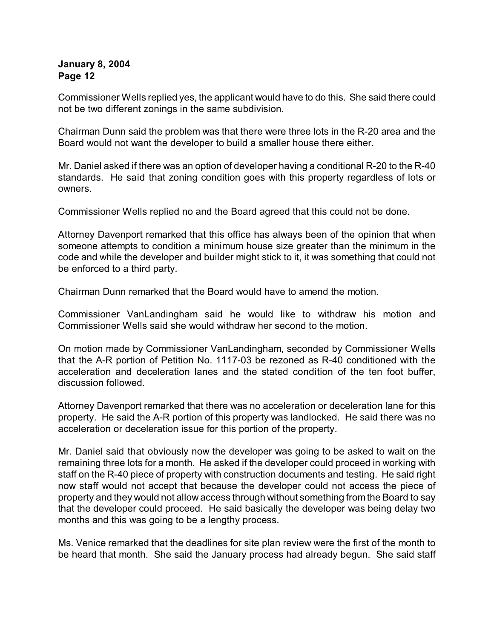Commissioner Wells replied yes, the applicant would have to do this. She said there could not be two different zonings in the same subdivision.

Chairman Dunn said the problem was that there were three lots in the R-20 area and the Board would not want the developer to build a smaller house there either.

Mr. Daniel asked if there was an option of developer having a conditional R-20 to the R-40 standards. He said that zoning condition goes with this property regardless of lots or owners.

Commissioner Wells replied no and the Board agreed that this could not be done.

Attorney Davenport remarked that this office has always been of the opinion that when someone attempts to condition a minimum house size greater than the minimum in the code and while the developer and builder might stick to it, it was something that could not be enforced to a third party.

Chairman Dunn remarked that the Board would have to amend the motion.

Commissioner VanLandingham said he would like to withdraw his motion and Commissioner Wells said she would withdraw her second to the motion.

On motion made by Commissioner VanLandingham, seconded by Commissioner Wells that the A-R portion of Petition No. 1117-03 be rezoned as R-40 conditioned with the acceleration and deceleration lanes and the stated condition of the ten foot buffer, discussion followed.

Attorney Davenport remarked that there was no acceleration or deceleration lane for this property. He said the A-R portion of this property was landlocked. He said there was no acceleration or deceleration issue for this portion of the property.

Mr. Daniel said that obviously now the developer was going to be asked to wait on the remaining three lots for a month. He asked if the developer could proceed in working with staff on the R-40 piece of property with construction documents and testing. He said right now staff would not accept that because the developer could not access the piece of property and they would not allow access through without something from the Board to say that the developer could proceed. He said basically the developer was being delay two months and this was going to be a lengthy process.

Ms. Venice remarked that the deadlines for site plan review were the first of the month to be heard that month. She said the January process had already begun. She said staff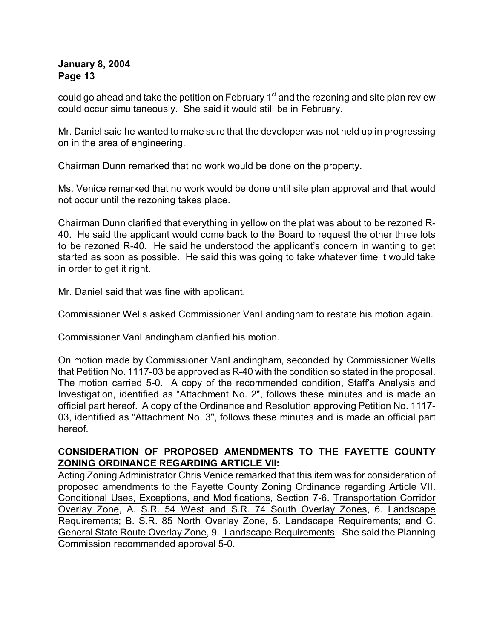could go ahead and take the petition on February  $1<sup>st</sup>$  and the rezoning and site plan review could occur simultaneously. She said it would still be in February.

Mr. Daniel said he wanted to make sure that the developer was not held up in progressing on in the area of engineering.

Chairman Dunn remarked that no work would be done on the property.

Ms. Venice remarked that no work would be done until site plan approval and that would not occur until the rezoning takes place.

Chairman Dunn clarified that everything in yellow on the plat was about to be rezoned R-40. He said the applicant would come back to the Board to request the other three lots to be rezoned R-40. He said he understood the applicant's concern in wanting to get started as soon as possible. He said this was going to take whatever time it would take in order to get it right.

Mr. Daniel said that was fine with applicant.

Commissioner Wells asked Commissioner VanLandingham to restate his motion again.

Commissioner VanLandingham clarified his motion.

On motion made by Commissioner VanLandingham, seconded by Commissioner Wells that Petition No. 1117-03 be approved as R-40 with the condition so stated in the proposal. The motion carried 5-0. A copy of the recommended condition, Staff's Analysis and Investigation, identified as "Attachment No. 2", follows these minutes and is made an official part hereof. A copy of the Ordinance and Resolution approving Petition No. 1117- 03, identified as "Attachment No. 3", follows these minutes and is made an official part hereof.

# **CONSIDERATION OF PROPOSED AMENDMENTS TO THE FAYETTE COUNTY ZONING ORDINANCE REGARDING ARTICLE VII:**

Acting Zoning Administrator Chris Venice remarked that this item was for consideration of proposed amendments to the Fayette County Zoning Ordinance regarding Article VII. Conditional Uses, Exceptions, and Modifications, Section 7-6. Transportation Corridor Overlay Zone, A. S.R. 54 West and S.R. 74 South Overlay Zones, 6. Landscape Requirements; B. S.R. 85 North Overlay Zone, 5. Landscape Requirements; and C. General State Route Overlay Zone, 9. Landscape Requirements. She said the Planning Commission recommended approval 5-0.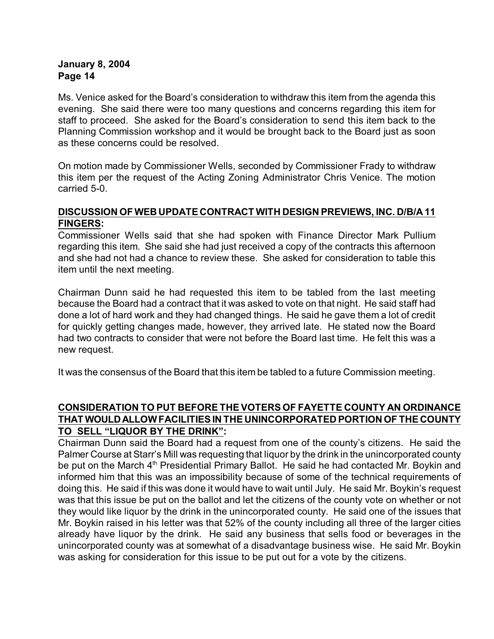Ms. Venice asked for the Board's consideration to withdraw this item from the agenda this evening. She said there were too many questions and concerns regarding this item for staff to proceed. She asked for the Board's consideration to send this item back to the Planning Commission workshop and it would be brought back to the Board just as soon as these concerns could be resolved.

On motion made by Commissioner Wells, seconded by Commissioner Frady to withdraw this item per the request of the Acting Zoning Administrator Chris Venice. The motion carried 5-0.

# **DISCUSSION OF WEB UPDATE CONTRACT WITH DESIGN PREVIEWS, INC. D/B/A 11 FINGERS:**

Commissioner Wells said that she had spoken with Finance Director Mark Pullium regarding this item. She said she had just received a copy of the contracts this afternoon and she had not had a chance to review these. She asked for consideration to table this item until the next meeting.

Chairman Dunn said he had requested this item to be tabled from the last meeting because the Board had a contract that it was asked to vote on that night. He said staff had done a lot of hard work and they had changed things. He said he gave them a lot of credit for quickly getting changes made, however, they arrived late. He stated now the Board had two contracts to consider that were not before the Board last time. He felt this was a new request.

It was the consensus of the Board that this item be tabled to a future Commission meeting.

# **CONSIDERATION TO PUT BEFORE THE VOTERS OF FAYETTE COUNTY AN ORDINANCE THAT WOULD ALLOW FACILITIES IN THE UNINCORPORATED PORTION OF THE COUNTY TO SELL "LIQUOR BY THE DRINK":**

Chairman Dunn said the Board had a request from one of the county's citizens. He said the Palmer Course at Starr's Mill was requesting that liquor by the drink in the unincorporated county be put on the March 4<sup>th</sup> Presidential Primary Ballot. He said he had contacted Mr. Boykin and informed him that this was an impossibility because of some of the technical requirements of doing this. He said if this was done it would have to wait until July. He said Mr. Boykin's request was that this issue be put on the ballot and let the citizens of the county vote on whether or not they would like liquor by the drink in the unincorporated county. He said one of the issues that Mr. Boykin raised in his letter was that 52% of the county including all three of the larger cities already have liquor by the drink. He said any business that sells food or beverages in the unincorporated county was at somewhat of a disadvantage business wise. He said Mr. Boykin was asking for consideration for this issue to be put out for a vote by the citizens.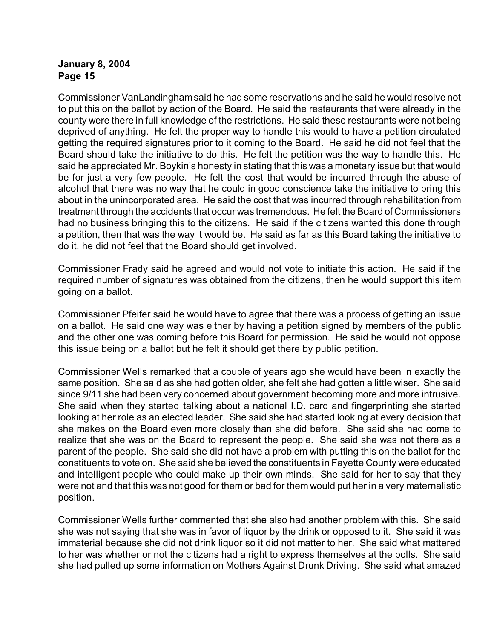Commissioner VanLandinghamsaid he had some reservations and he said he would resolve not to put this on the ballot by action of the Board. He said the restaurants that were already in the county were there in full knowledge of the restrictions. He said these restaurants were not being deprived of anything. He felt the proper way to handle this would to have a petition circulated getting the required signatures prior to it coming to the Board. He said he did not feel that the Board should take the initiative to do this. He felt the petition was the way to handle this. He said he appreciated Mr. Boykin's honesty in stating that this was a monetary issue but that would be for just a very few people. He felt the cost that would be incurred through the abuse of alcohol that there was no way that he could in good conscience take the initiative to bring this about in the unincorporated area. He said the cost that was incurred through rehabilitation from treatment through the accidents that occur was tremendous. He felt the Board of Commissioners had no business bringing this to the citizens. He said if the citizens wanted this done through a petition, then that was the way it would be. He said as far as this Board taking the initiative to do it, he did not feel that the Board should get involved.

Commissioner Frady said he agreed and would not vote to initiate this action. He said if the required number of signatures was obtained from the citizens, then he would support this item going on a ballot.

Commissioner Pfeifer said he would have to agree that there was a process of getting an issue on a ballot. He said one way was either by having a petition signed by members of the public and the other one was coming before this Board for permission. He said he would not oppose this issue being on a ballot but he felt it should get there by public petition.

Commissioner Wells remarked that a couple of years ago she would have been in exactly the same position. She said as she had gotten older, she felt she had gotten a little wiser. She said since 9/11 she had been very concerned about government becoming more and more intrusive. She said when they started talking about a national I.D. card and fingerprinting she started looking at her role as an elected leader. She said she had started looking at every decision that she makes on the Board even more closely than she did before. She said she had come to realize that she was on the Board to represent the people. She said she was not there as a parent of the people. She said she did not have a problem with putting this on the ballot for the constituents to vote on. She said she believed the constituents in Fayette County were educated and intelligent people who could make up their own minds. She said for her to say that they were not and that this was not good for them or bad for them would put her in a very maternalistic position.

Commissioner Wells further commented that she also had another problem with this. She said she was not saying that she was in favor of liquor by the drink or opposed to it. She said it was immaterial because she did not drink liquor so it did not matter to her. She said what mattered to her was whether or not the citizens had a right to express themselves at the polls. She said she had pulled up some information on Mothers Against Drunk Driving. She said what amazed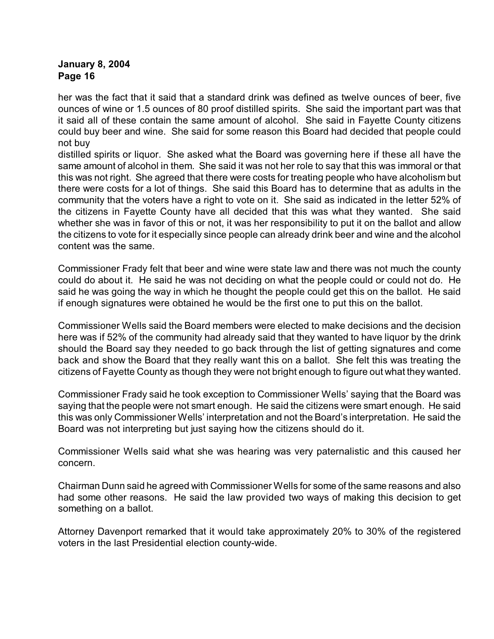her was the fact that it said that a standard drink was defined as twelve ounces of beer, five ounces of wine or 1.5 ounces of 80 proof distilled spirits. She said the important part was that it said all of these contain the same amount of alcohol. She said in Fayette County citizens could buy beer and wine. She said for some reason this Board had decided that people could not buy

distilled spirits or liquor. She asked what the Board was governing here if these all have the same amount of alcohol in them. She said it was not her role to say that this was immoral or that this was not right. She agreed that there were costs for treating people who have alcoholism but there were costs for a lot of things. She said this Board has to determine that as adults in the community that the voters have a right to vote on it. She said as indicated in the letter 52% of the citizens in Fayette County have all decided that this was what they wanted. She said whether she was in favor of this or not, it was her responsibility to put it on the ballot and allow the citizens to vote for it especially since people can already drink beer and wine and the alcohol content was the same.

Commissioner Frady felt that beer and wine were state law and there was not much the county could do about it. He said he was not deciding on what the people could or could not do. He said he was going the way in which he thought the people could get this on the ballot. He said if enough signatures were obtained he would be the first one to put this on the ballot.

Commissioner Wells said the Board members were elected to make decisions and the decision here was if 52% of the community had already said that they wanted to have liquor by the drink should the Board say they needed to go back through the list of getting signatures and come back and show the Board that they really want this on a ballot. She felt this was treating the citizens of Fayette County as though they were not bright enough to figure out what they wanted.

Commissioner Frady said he took exception to Commissioner Wells' saying that the Board was saying that the people were not smart enough. He said the citizens were smart enough. He said this was only Commissioner Wells' interpretation and not the Board's interpretation. He said the Board was not interpreting but just saying how the citizens should do it.

Commissioner Wells said what she was hearing was very paternalistic and this caused her concern.

Chairman Dunn said he agreed with Commissioner Wells for some of the same reasons and also had some other reasons. He said the law provided two ways of making this decision to get something on a ballot.

Attorney Davenport remarked that it would take approximately 20% to 30% of the registered voters in the last Presidential election county-wide.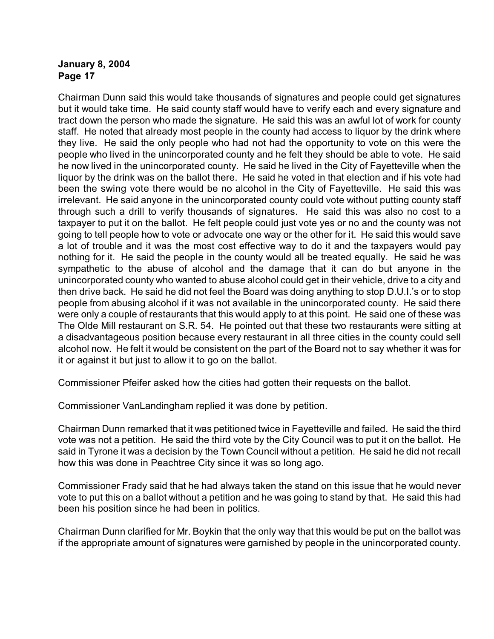Chairman Dunn said this would take thousands of signatures and people could get signatures but it would take time. He said county staff would have to verify each and every signature and tract down the person who made the signature. He said this was an awful lot of work for county staff. He noted that already most people in the county had access to liquor by the drink where they live. He said the only people who had not had the opportunity to vote on this were the people who lived in the unincorporated county and he felt they should be able to vote. He said he now lived in the unincorporated county. He said he lived in the City of Fayetteville when the liquor by the drink was on the ballot there. He said he voted in that election and if his vote had been the swing vote there would be no alcohol in the City of Fayetteville. He said this was irrelevant. He said anyone in the unincorporated county could vote without putting county staff through such a drill to verify thousands of signatures. He said this was also no cost to a taxpayer to put it on the ballot. He felt people could just vote yes or no and the county was not going to tell people how to vote or advocate one way or the other for it. He said this would save a lot of trouble and it was the most cost effective way to do it and the taxpayers would pay nothing for it. He said the people in the county would all be treated equally. He said he was sympathetic to the abuse of alcohol and the damage that it can do but anyone in the unincorporated county who wanted to abuse alcohol could get in their vehicle, drive to a city and then drive back. He said he did not feel the Board was doing anything to stop D.U.I.'s or to stop people from abusing alcohol if it was not available in the unincorporated county. He said there were only a couple of restaurants that this would apply to at this point. He said one of these was The Olde Mill restaurant on S.R. 54. He pointed out that these two restaurants were sitting at a disadvantageous position because every restaurant in all three cities in the county could sell alcohol now. He felt it would be consistent on the part of the Board not to say whether it was for it or against it but just to allow it to go on the ballot.

Commissioner Pfeifer asked how the cities had gotten their requests on the ballot.

Commissioner VanLandingham replied it was done by petition.

Chairman Dunn remarked that it was petitioned twice in Fayetteville and failed. He said the third vote was not a petition. He said the third vote by the City Council was to put it on the ballot. He said in Tyrone it was a decision by the Town Council without a petition. He said he did not recall how this was done in Peachtree City since it was so long ago.

Commissioner Frady said that he had always taken the stand on this issue that he would never vote to put this on a ballot without a petition and he was going to stand by that. He said this had been his position since he had been in politics.

Chairman Dunn clarified for Mr. Boykin that the only way that this would be put on the ballot was if the appropriate amount of signatures were garnished by people in the unincorporated county.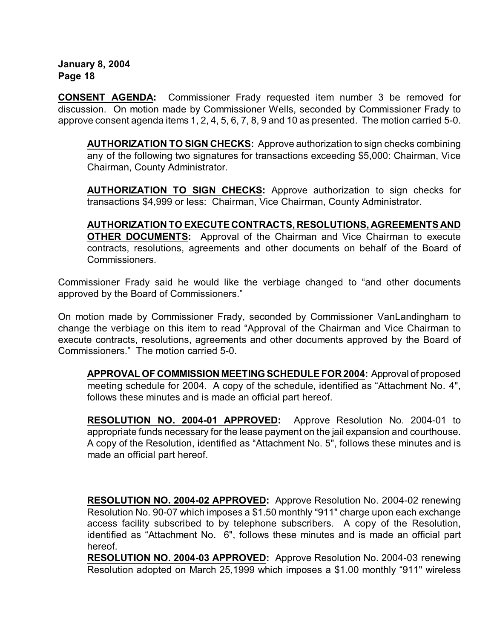**CONSENT AGENDA:** Commissioner Frady requested item number 3 be removed for discussion. On motion made by Commissioner Wells, seconded by Commissioner Frady to approve consent agenda items 1, 2, 4, 5, 6, 7, 8, 9 and 10 as presented. The motion carried 5-0.

**AUTHORIZATION TO SIGN CHECKS:** Approve authorization to sign checks combining any of the following two signatures for transactions exceeding \$5,000: Chairman, Vice Chairman, County Administrator.

**AUTHORIZATION TO SIGN CHECKS:** Approve authorization to sign checks for transactions \$4,999 or less: Chairman, Vice Chairman, County Administrator.

**AUTHORIZATION TO EXECUTE CONTRACTS, RESOLUTIONS, AGREEMENTS AND OTHER DOCUMENTS:** Approval of the Chairman and Vice Chairman to execute contracts, resolutions, agreements and other documents on behalf of the Board of Commissioners.

Commissioner Frady said he would like the verbiage changed to "and other documents approved by the Board of Commissioners."

On motion made by Commissioner Frady, seconded by Commissioner VanLandingham to change the verbiage on this item to read "Approval of the Chairman and Vice Chairman to execute contracts, resolutions, agreements and other documents approved by the Board of Commissioners." The motion carried 5-0.

**APPROVAL OF COMMISSION MEETING SCHEDULE FOR 2004:** Approval of proposed meeting schedule for 2004. A copy of the schedule, identified as "Attachment No. 4", follows these minutes and is made an official part hereof.

**RESOLUTION NO. 2004-01 APPROVED:** Approve Resolution No. 2004-01 to appropriate funds necessary for the lease payment on the jail expansion and courthouse. A copy of the Resolution, identified as "Attachment No. 5", follows these minutes and is made an official part hereof.

**RESOLUTION NO. 2004-02 APPROVED:** Approve Resolution No. 2004-02 renewing Resolution No. 90-07 which imposes a \$1.50 monthly "911" charge upon each exchange access facility subscribed to by telephone subscribers. A copy of the Resolution, identified as "Attachment No. 6", follows these minutes and is made an official part hereof.

**RESOLUTION NO. 2004-03 APPROVED:** Approve Resolution No. 2004-03 renewing Resolution adopted on March 25,1999 which imposes a \$1.00 monthly "911" wireless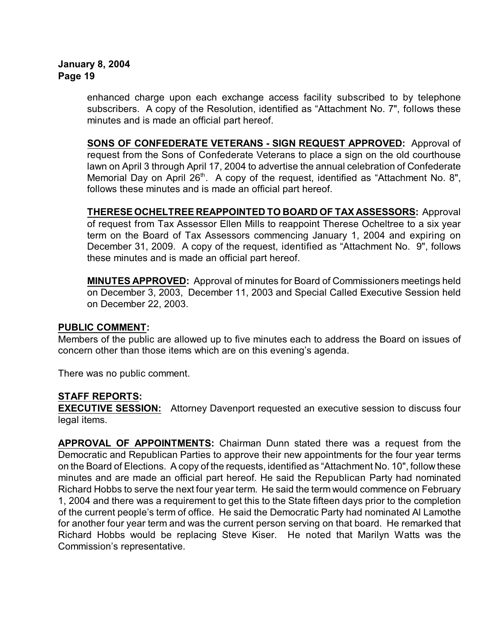enhanced charge upon each exchange access facility subscribed to by telephone subscribers. A copy of the Resolution, identified as "Attachment No. 7", follows these minutes and is made an official part hereof.

**SONS OF CONFEDERATE VETERANS - SIGN REQUEST APPROVED:** Approval of request from the Sons of Confederate Veterans to place a sign on the old courthouse lawn on April 3 through April 17, 2004 to advertise the annual celebration of Confederate Memorial Day on April  $26<sup>th</sup>$ . A copy of the request, identified as "Attachment No. 8", follows these minutes and is made an official part hereof.

**THERESEOCHELTREE REAPPOINTED TO BOARD OF TAX ASSESSORS:** Approval of request from Tax Assessor Ellen Mills to reappoint Therese Ocheltree to a six year term on the Board of Tax Assessors commencing January 1, 2004 and expiring on December 31, 2009. A copy of the request, identified as "Attachment No. 9", follows these minutes and is made an official part hereof.

**MINUTES APPROVED:** Approval of minutes for Board of Commissioners meetings held on December 3, 2003, December 11, 2003 and Special Called Executive Session held on December 22, 2003.

#### **PUBLIC COMMENT:**

Members of the public are allowed up to five minutes each to address the Board on issues of concern other than those items which are on this evening's agenda.

There was no public comment.

# **STAFF REPORTS:**

**EXECUTIVE SESSION:** Attorney Davenport requested an executive session to discuss four legal items.

**APPROVAL OF APPOINTMENTS:** Chairman Dunn stated there was a request from the Democratic and Republican Parties to approve their new appointments for the four year terms on the Board of Elections. A copy of the requests, identified as "Attachment No. 10", follow these minutes and are made an official part hereof. He said the Republican Party had nominated Richard Hobbs to serve the next four year term. He said the term would commence on February 1, 2004 and there was a requirement to get this to the State fifteen days prior to the completion of the current people's term of office. He said the Democratic Party had nominated Al Lamothe for another four year term and was the current person serving on that board. He remarked that Richard Hobbs would be replacing Steve Kiser. He noted that Marilyn Watts was the Commission's representative.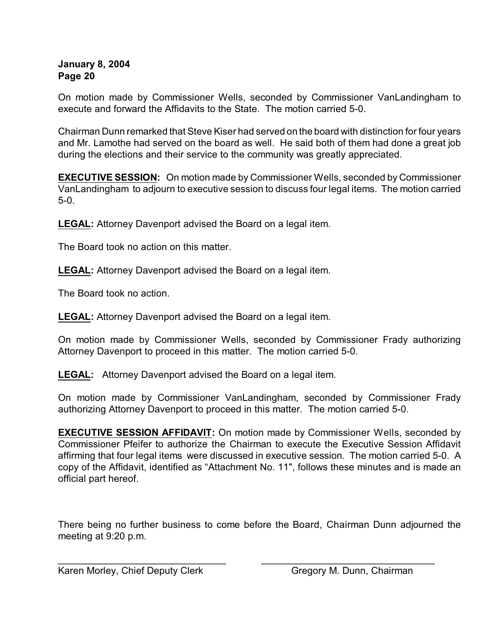On motion made by Commissioner Wells, seconded by Commissioner VanLandingham to execute and forward the Affidavits to the State. The motion carried 5-0.

Chairman Dunn remarked that Steve Kiser had served on the board with distinction for four years and Mr. Lamothe had served on the board as well. He said both of them had done a great job during the elections and their service to the community was greatly appreciated.

**EXECUTIVE SESSION:** On motion made by Commissioner Wells, seconded by Commissioner VanLandingham to adjourn to executive session to discuss four legal items. The motion carried 5-0.

**LEGAL:** Attorney Davenport advised the Board on a legal item.

The Board took no action on this matter.

**LEGAL:** Attorney Davenport advised the Board on a legal item.

The Board took no action.

**LEGAL:** Attorney Davenport advised the Board on a legal item.

On motion made by Commissioner Wells, seconded by Commissioner Frady authorizing Attorney Davenport to proceed in this matter. The motion carried 5-0.

**LEGAL:** Attorney Davenport advised the Board on a legal item.

On motion made by Commissioner VanLandingham, seconded by Commissioner Frady authorizing Attorney Davenport to proceed in this matter. The motion carried 5-0.

**EXECUTIVE SESSION AFFIDAVIT:** On motion made by Commissioner Wells, seconded by Commissioner Pfeifer to authorize the Chairman to execute the Executive Session Affidavit affirming that four legal items were discussed in executive session. The motion carried 5-0. A copy of the Affidavit, identified as "Attachment No. 11", follows these minutes and is made an official part hereof.

There being no further business to come before the Board, Chairman Dunn adjourned the meeting at 9:20 p.m.

\_\_\_\_\_\_\_\_\_\_\_\_\_\_\_\_\_\_\_\_\_\_\_\_\_\_\_\_\_\_\_ \_\_\_\_\_\_\_\_\_\_\_\_\_\_\_\_\_\_\_\_\_\_\_\_\_\_\_\_\_\_\_\_